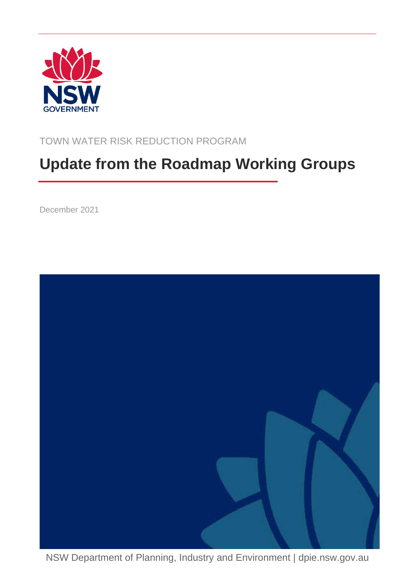

TOWN WATER RISK REDUCTION PROGRAM

# **Update from the Roadmap Working Groups**

December 2021



NSW Department of Planning, Industry and Environment | dpie.nsw.gov.au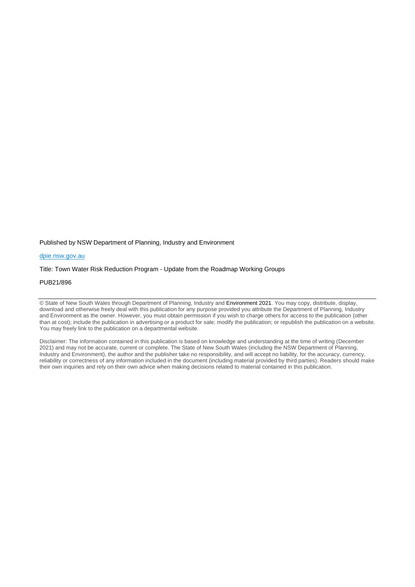Published by NSW Department of Planning, Industry and Environment

#### [dpie.nsw.gov.au](http://www.dpie.nsw.gov.au/)

#### Title: Town Water Risk Reduction Program - Update from the Roadmap Working Groups

#### PUB21/896

© State of New South Wales through Department of Planning, Industry and Environment 2021. You may copy, distribute, display, download and otherwise freely deal with this publication for any purpose provided you attribute the Department of Planning, Industry and Environment as the owner. However, you must obtain permission if you wish to charge others for access to the publication (other than at cost); include the publication in advertising or a product for sale; modify the publication; or republish the publication on a website. You may freely link to the publication on a departmental website.

Disclaimer: The information contained in this publication is based on knowledge and understanding at the time of writing (December 2021) and may not be accurate, current or complete. The State of New South Wales (including the NSW Department of Planning, Industry and Environment), the author and the publisher take no responsibility, and will accept no liability, for the accuracy, currency, reliability or correctness of any information included in the document (including material provided by third parties). Readers should make their own inquiries and rely on their own advice when making decisions related to material contained in this publication.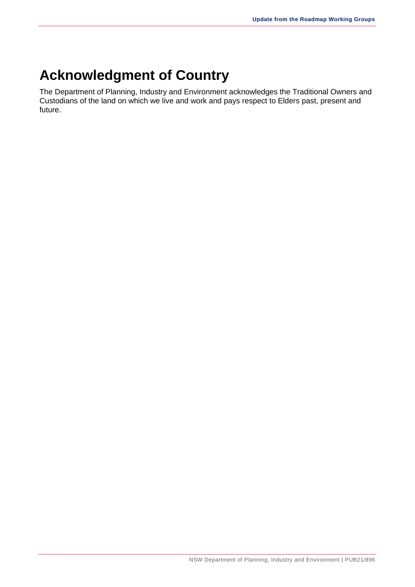# **Acknowledgment of Country**

The Department of Planning, Industry and Environment acknowledges the Traditional Owners and Custodians of the land on which we live and work and pays respect to Elders past, present and future.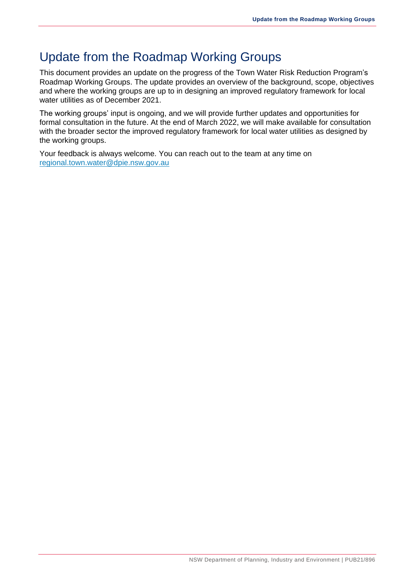### Update from the Roadmap Working Groups

This document provides an update on the progress of the Town Water Risk Reduction Program's Roadmap Working Groups. The update provides an overview of the background, scope, objectives and where the working groups are up to in designing an improved regulatory framework for local water utilities as of December 2021.

The working groups' input is ongoing, and we will provide further updates and opportunities for formal consultation in the future. At the end of March 2022, we will make available for consultation with the broader sector the improved regulatory framework for local water utilities as designed by the working groups.

Your feedback is always welcome. You can reach out to the team at any time on [regional.town.water@dpie.nsw.gov.au](mailto:regional.town.water@dpie.nsw.gov.au)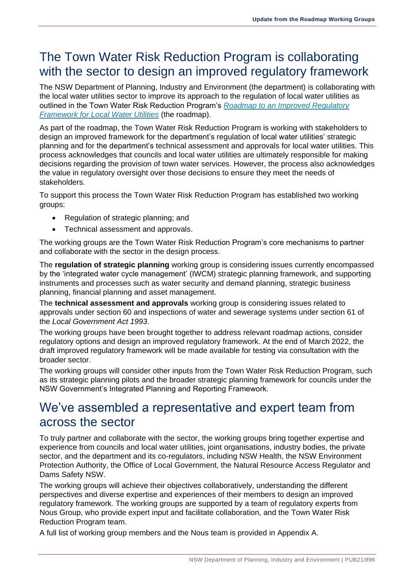### The Town Water Risk Reduction Program is collaborating with the sector to design an improved regulatory framework

The NSW Department of Planning, Industry and Environment (the department) is collaborating with the local water utilities sector to improve its approach to the regulation of local water utilities as outlined in the Town Water Risk Reduction Program's *[Roadmap to an Improved Regulatory](https://www.industry.nsw.gov.au/__data/assets/pdf_file/0010/477613/Final-Roadmap-to-an-improved-regulatory-framework-for-local-water-utilities.pdf)  [Framework for Local Water Utilities](https://www.industry.nsw.gov.au/__data/assets/pdf_file/0010/477613/Final-Roadmap-to-an-improved-regulatory-framework-for-local-water-utilities.pdf)* (the roadmap).

As part of the roadmap, the Town Water Risk Reduction Program is working with stakeholders to design an improved framework for the department's regulation of local water utilities' strategic planning and for the department's technical assessment and approvals for local water utilities. This process acknowledges that councils and local water utilities are ultimately responsible for making decisions regarding the provision of town water services. However, the process also acknowledges the value in regulatory oversight over those decisions to ensure they meet the needs of stakeholders.

To support this process the Town Water Risk Reduction Program has established two working groups:

- Regulation of strategic planning; and
- Technical assessment and approvals.

The working groups are the Town Water Risk Reduction Program's core mechanisms to partner and collaborate with the sector in the design process.

The **regulation of strategic planning** working group is considering issues currently encompassed by the 'integrated water cycle management' (IWCM) strategic planning framework, and supporting instruments and processes such as water security and demand planning, strategic business planning, financial planning and asset management.

The **technical assessment and approvals** working group is considering issues related to approvals under section 60 and inspections of water and sewerage systems under section 61 of the *Local Government Act 1993*.

The working groups have been brought together to address relevant roadmap actions, consider regulatory options and design an improved regulatory framework. At the end of March 2022, the draft improved regulatory framework will be made available for testing via consultation with the broader sector.

The working groups will consider other inputs from the Town Water Risk Reduction Program, such as its strategic planning pilots and the broader strategic planning framework for councils under the NSW Government's Integrated Planning and Reporting Framework.

### We've assembled a representative and expert team from across the sector

To truly partner and collaborate with the sector, the working groups bring together expertise and experience from councils and local water utilities, joint organisations, industry bodies, the private sector, and the department and its co-regulators, including NSW Health, the NSW Environment Protection Authority, the Office of Local Government, the Natural Resource Access Regulator and Dams Safety NSW.

The working groups will achieve their objectives collaboratively, understanding the different perspectives and diverse expertise and experiences of their members to design an improved regulatory framework. The working groups are supported by a team of regulatory experts from Nous Group, who provide expert input and facilitate collaboration, and the Town Water Risk Reduction Program team.

A full list of working group members and the Nous team is provided in Appendix A.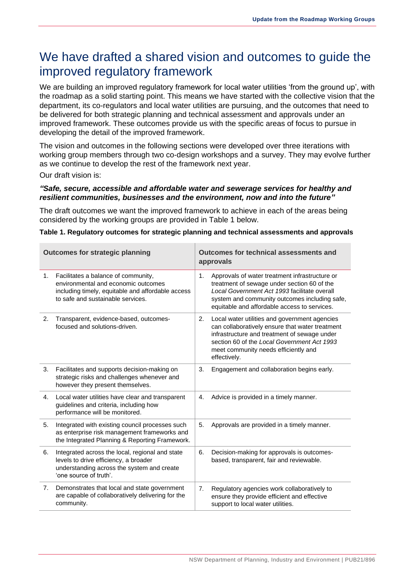### We have drafted a shared vision and outcomes to guide the improved regulatory framework

We are building an improved regulatory framework for local water utilities 'from the ground up', with the roadmap as a solid starting point. This means we have started with the collective vision that the department, its co-regulators and local water utilities are pursuing, and the outcomes that need to be delivered for both strategic planning and technical assessment and approvals under an improved framework. These outcomes provide us with the specific areas of focus to pursue in developing the detail of the improved framework.

The vision and outcomes in the following sections were developed over three iterations with working group members through two co-design workshops and a survey. They may evolve further as we continue to develop the rest of the framework next year.

Our draft vision is:

#### *"Safe, secure, accessible and affordable water and sewerage services for healthy and resilient communities, businesses and the environment, now and into the future"*

The draft outcomes we want the improved framework to achieve in each of the areas being considered by the working groups are provided in Table 1 below.

#### **Table 1. Regulatory outcomes for strategic planning and technical assessments and approvals**

| <b>Outcomes for strategic planning</b> |                                                                                                                                                                      | Outcomes for technical assessments and<br>approvals                                                                                                                                                                                                           |
|----------------------------------------|----------------------------------------------------------------------------------------------------------------------------------------------------------------------|---------------------------------------------------------------------------------------------------------------------------------------------------------------------------------------------------------------------------------------------------------------|
| 1.                                     | Facilitates a balance of community,<br>environmental and economic outcomes<br>including timely, equitable and affordable access<br>to safe and sustainable services. | Approvals of water treatment infrastructure or<br>1.<br>treatment of sewage under section 60 of the<br>Local Government Act 1993 facilitate overall<br>system and community outcomes including safe,<br>equitable and affordable access to services.          |
| 2.                                     | Transparent, evidence-based, outcomes-<br>focused and solutions-driven.                                                                                              | Local water utilities and government agencies<br>2.<br>can collaboratively ensure that water treatment<br>infrastructure and treatment of sewage under<br>section 60 of the Local Government Act 1993<br>meet community needs efficiently and<br>effectively. |
| 3.                                     | Facilitates and supports decision-making on<br>strategic risks and challenges whenever and<br>however they present themselves.                                       | Engagement and collaboration begins early.<br>3.                                                                                                                                                                                                              |
| 4.                                     | Local water utilities have clear and transparent<br>guidelines and criteria, including how<br>performance will be monitored.                                         | Advice is provided in a timely manner.<br>4.                                                                                                                                                                                                                  |
| 5.                                     | Integrated with existing council processes such<br>as enterprise risk management frameworks and<br>the Integrated Planning & Reporting Framework.                    | 5.<br>Approvals are provided in a timely manner.                                                                                                                                                                                                              |
| 6.                                     | Integrated across the local, regional and state<br>levels to drive efficiency, a broader<br>understanding across the system and create<br>'one source of truth'.     | Decision-making for approvals is outcomes-<br>6.<br>based, transparent, fair and reviewable.                                                                                                                                                                  |
| 7.                                     | Demonstrates that local and state government<br>are capable of collaboratively delivering for the<br>community.                                                      | Regulatory agencies work collaboratively to<br>7.<br>ensure they provide efficient and effective<br>support to local water utilities.                                                                                                                         |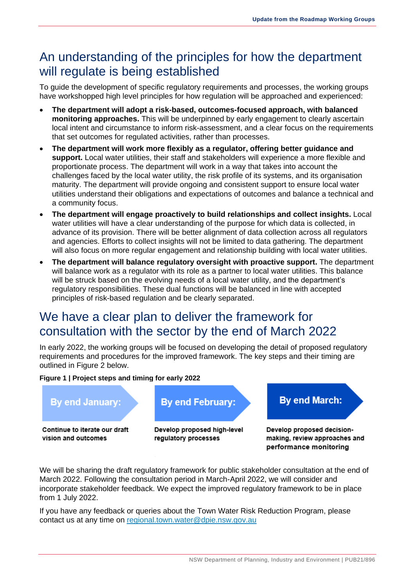### An understanding of the principles for how the department will regulate is being established

To guide the development of specific regulatory requirements and processes, the working groups have workshopped high level principles for how regulation will be approached and experienced:

- **The department will adopt a risk-based, outcomes-focused approach, with balanced monitoring approaches.** This will be underpinned by early engagement to clearly ascertain local intent and circumstance to inform risk-assessment, and a clear focus on the requirements that set outcomes for regulated activities, rather than processes.
- **The department will work more flexibly as a regulator, offering better guidance and support.** Local water utilities, their staff and stakeholders will experience a more flexible and proportionate process. The department will work in a way that takes into account the challenges faced by the local water utility, the risk profile of its systems, and its organisation maturity. The department will provide ongoing and consistent support to ensure local water utilities understand their obligations and expectations of outcomes and balance a technical and a community focus.
- **The department will engage proactively to build relationships and collect insights.** Local water utilities will have a clear understanding of the purpose for which data is collected, in advance of its provision. There will be better alignment of data collection across all regulators and agencies. Efforts to collect insights will not be limited to data gathering. The department will also focus on more regular engagement and relationship building with local water utilities.
- **The department will balance regulatory oversight with proactive support.** The department will balance work as a regulator with its role as a partner to local water utilities. This balance will be struck based on the evolving needs of a local water utility, and the department's regulatory responsibilities. These dual functions will be balanced in line with accepted principles of risk-based regulation and be clearly separated.

### We have a clear plan to deliver the framework for consultation with the sector by the end of March 2022

In early 2022, the working groups will be focused on developing the detail of proposed regulatory requirements and procedures for the improved framework. The key steps and their timing are outlined in Figure 2 below.

#### **Figure 1 | Project steps and timing for early 2022**



We will be sharing the draft regulatory framework for public stakeholder consultation at the end of March 2022. Following the consultation period in March-April 2022, we will consider and incorporate stakeholder feedback. We expect the improved regulatory framework to be in place from 1 July 2022.

If you have any feedback or queries about the Town Water Risk Reduction Program, please contact us at any time on [regional.town.water@dpie.nsw.gov.au](mailto:regional.town.water@dpie.nsw.gov.au)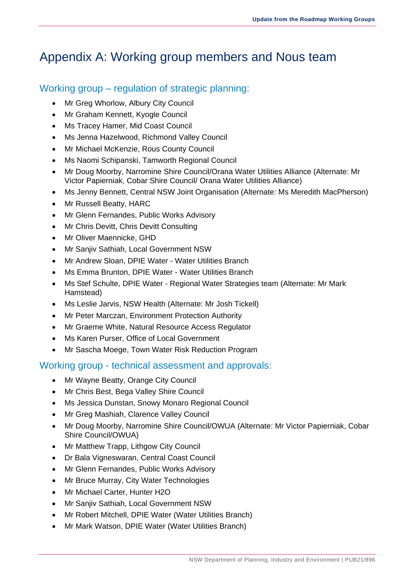## Appendix A: Working group members and Nous team

### Working group – regulation of strategic planning:

- Mr Greg Whorlow, Albury City Council
- Mr Graham Kennett, Kyogle Council
- Ms Tracey Hamer, Mid Coast Council
- Ms Jenna Hazelwood, Richmond Valley Council
- Mr Michael McKenzie, Rous County Council
- Ms Naomi Schipanski, Tamworth Regional Council
- Mr Doug Moorby, Narromine Shire Council/Orana Water Utilities Alliance (Alternate: Mr Victor Papierniak, Cobar Shire Council/ Orana Water Utilities Alliance)
- Ms Jenny Bennett, Central NSW Joint Organisation (Alternate: Ms Meredith MacPherson)
- Mr Russell Beatty, HARC
- Mr Glenn Fernandes, Public Works Advisory
- Mr Chris Devitt, Chris Devitt Consulting
- Mr Oliver Maennicke, GHD
- Mr Sanjiv Sathiah, Local Government NSW
- Mr Andrew Sloan, DPIE Water Water Utilities Branch
- Ms Emma Brunton, DPIE Water Water Utilities Branch
- Ms Stef Schulte, DPIE Water Regional Water Strategies team (Alternate: Mr Mark Hamstead)
- Ms Leslie Jarvis, NSW Health (Alternate: Mr Josh Tickell)
- Mr Peter Marczan, Environment Protection Authority
- Mr Graeme White, Natural Resource Access Regulator
- Ms Karen Purser, Office of Local Government
- Mr Sascha Moege, Town Water Risk Reduction Program

### Working group - technical assessment and approvals:

- Mr Wayne Beatty, Orange City Council
- Mr Chris Best, Bega Valley Shire Council
- Ms Jessica Dunstan, Snowy Monaro Regional Council
- Mr Greg Mashiah, Clarence Valley Council
- Mr Doug Moorby, Narromine Shire Council/OWUA (Alternate: Mr Victor Papierniak, Cobar Shire Council/OWUA)
- Mr Matthew Trapp, Lithgow City Council
- Dr Bala Vigneswaran, Central Coast Council
- Mr Glenn Fernandes, Public Works Advisory
- Mr Bruce Murray, City Water Technologies
- Mr Michael Carter, Hunter H2O
- Mr Sanjiv Sathiah, Local Government NSW
- Mr Robert Mitchell, DPIE Water (Water Utilities Branch)
- Mr Mark Watson, DPIE Water (Water Utilities Branch)